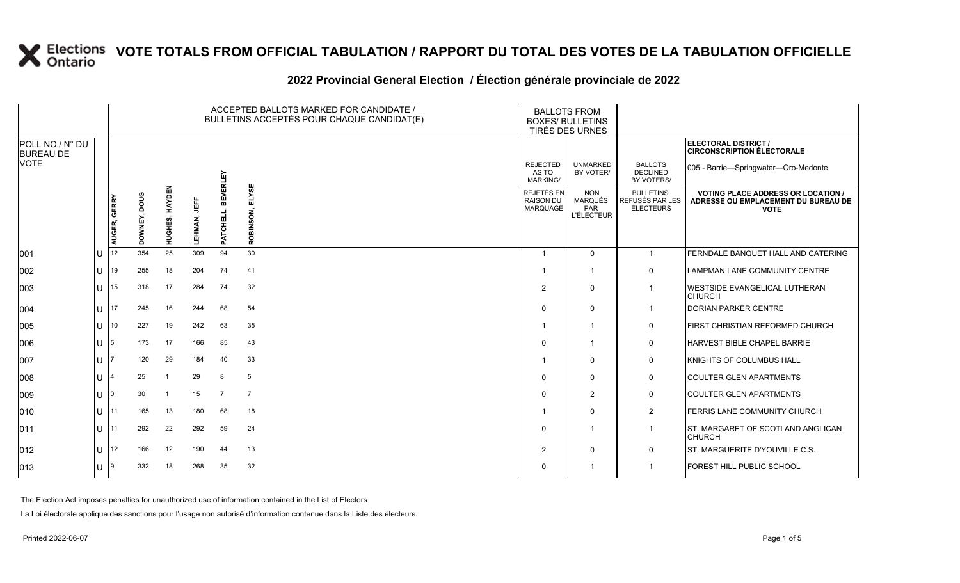#### 2022 Provincial General Election / Election générale provinciale de 2022

|                                     |     | ACCEPTED BALLOTS MARKED FOR CANDIDATE /<br>BULLETINS ACCEPTÉS POUR CHAQUE CANDIDAT(E) |                 |                |              |                                 |                    | <b>BALLOTS FROM</b><br><b>BOXES/ BULLETINS</b><br>TIRÉS DES URNES |                                                          |                                                  |                                                                                                 |
|-------------------------------------|-----|---------------------------------------------------------------------------------------|-----------------|----------------|--------------|---------------------------------|--------------------|-------------------------------------------------------------------|----------------------------------------------------------|--------------------------------------------------|-------------------------------------------------------------------------------------------------|
| POLL NO./ N° DU<br><b>BUREAU DE</b> |     |                                                                                       |                 |                |              |                                 |                    |                                                                   |                                                          |                                                  | ELECTORAL DISTRICT /<br><b>CIRCONSCRIPTION ÉLECTORALE</b>                                       |
| <b>VOTE</b>                         |     |                                                                                       |                 |                |              | EVERLEY                         |                    | <b>REJECTED</b><br>AS TO<br><b>MARKING/</b>                       | <b>UNMARKED</b><br>BY VOTER/                             | <b>BALLOTS</b><br><b>DECLINED</b><br>BY VOTERS/  | 005 - Barrie-Springwater-Oro-Medonte                                                            |
|                                     |     | AUGER, GERRY                                                                          | poug<br>DOWNEY, | HUGHES, HAYDEN | 肯<br>LEHMAN, | ᆱ<br><b>CHELL</b><br><b>PAT</b> | ELYSE<br>ROBINSON, | REJETÉS EN<br><b>RAISON DU</b><br><b>MARQUAGE</b>                 | <b>NON</b><br><b>MARQUÉS</b><br>PAR<br><b>L'ÉLECTEUR</b> | <b>BULLETINS</b><br>REFUSÉS PAR LES<br>ÉLECTEURS | <b>VOTING PLACE ADDRESS OR LOCATION /</b><br>ADRESSE OU EMPLACEMENT DU BUREAU DE<br><b>VOTE</b> |
| 001                                 | ΙU  | 12                                                                                    | 354             | 25             | 309          | 94                              | 30                 | $\overline{\mathbf{1}}$                                           | $\Omega$                                                 | $\overline{1}$                                   | FERNDALE BANQUET HALL AND CATERING                                                              |
| 002                                 | ΙU  | 19                                                                                    | 255             | 18             | 204          | 74                              | 41                 |                                                                   |                                                          | $\mathbf 0$                                      | <b>LAMPMAN LANE COMMUNITY CENTRE</b>                                                            |
| 003                                 | ΙU  | 15                                                                                    | 318             | 17             | 284          | 74                              | 32                 | $\overline{2}$                                                    | $\Omega$                                                 |                                                  | WESTSIDE EVANGELICAL LUTHERAN<br><b>CHURCH</b>                                                  |
| 004                                 | lu  | 17                                                                                    | 245             | 16             | 244          | 68                              | 54                 | $\mathbf 0$                                                       | 0                                                        |                                                  | <b>DORIAN PARKER CENTRE</b>                                                                     |
| 005                                 | ΙU  | 10                                                                                    | 227             | 19             | 242          | 63                              | 35                 |                                                                   | 1                                                        | $\mathbf 0$                                      | FIRST CHRISTIAN REFORMED CHURCH                                                                 |
| 006                                 | lu- | 5                                                                                     | 173             | 17             | 166          | 85                              | 43                 | $\Omega$                                                          | 1                                                        | $\mathbf 0$                                      | HARVEST BIBLE CHAPEL BARRIE                                                                     |
| 007                                 | Ш   |                                                                                       | 120             | 29             | 184          | 40                              | 33                 |                                                                   | $\Omega$                                                 | $\mathbf 0$                                      | KNIGHTS OF COLUMBUS HALL                                                                        |
| 008                                 | lu  |                                                                                       | 25              | -1             | 29           | 8                               | 5                  | $\mathbf 0$                                                       | $\Omega$                                                 | $\mathsf{O}$                                     | <b>COULTER GLEN APARTMENTS</b>                                                                  |
| 009                                 | Ш   |                                                                                       | 30              | -1             | 15           | $\overline{7}$                  | $\overline{7}$     | $\mathbf 0$                                                       | $\overline{2}$                                           | $\mathsf{O}$                                     | <b>COULTER GLEN APARTMENTS</b>                                                                  |
| 010                                 | lu- | 11                                                                                    | 165             | 13             | 180          | 68                              | 18                 |                                                                   | $\Omega$                                                 | $\overline{2}$                                   | FERRIS LANE COMMUNITY CHURCH                                                                    |
| $ 011\rangle$                       | lu- | 11                                                                                    | 292             | 22             | 292          | 59                              | 24                 | $\mathbf 0$                                                       |                                                          |                                                  | ST. MARGARET OF SCOTLAND ANGLICAN<br><b>CHURCH</b>                                              |
| $ 012\rangle$                       | lu- | 12                                                                                    | 166             | 12             | 190          | 44                              | 13                 | 2                                                                 | $\Omega$                                                 | $\mathbf 0$                                      | ST. MARGUERITE D'YOUVILLE C.S.                                                                  |
| $ 013\rangle$                       | ΙU  | 9                                                                                     | 332             | 18             | 268          | 35                              | 32                 | $\Omega$                                                          |                                                          |                                                  | FOREST HILL PUBLIC SCHOOL                                                                       |

The Election Act imposes penalties for unauthorized use of information contained in the List of Electors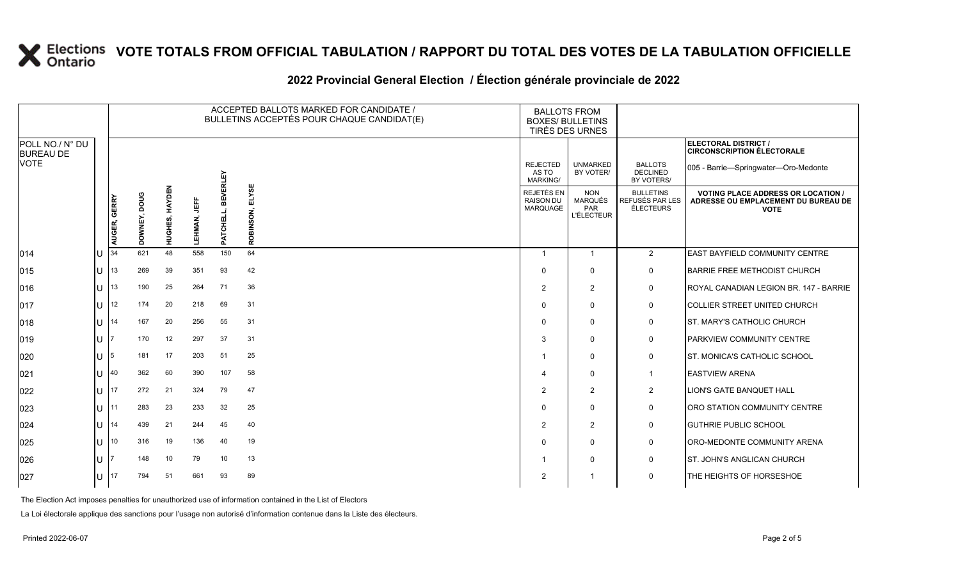#### **2022 Provincial General Election / Élection générale provinciale de 2022**

|                                     |                        |              |              |                |                     |                              | ACCEPTED BALLOTS MARKED FOR CANDIDATE /<br>BULLETINS ACCEPTÉS POUR CHAQUE CANDIDAT(E) | <b>BALLOTS FROM</b><br><b>BOXES/ BULLETINS</b><br>TIRÉS DES URNES |                                                          |                                                         |                                                                                                 |
|-------------------------------------|------------------------|--------------|--------------|----------------|---------------------|------------------------------|---------------------------------------------------------------------------------------|-------------------------------------------------------------------|----------------------------------------------------------|---------------------------------------------------------|-------------------------------------------------------------------------------------------------|
| POLL NO./ N° DU<br><b>BUREAU DE</b> |                        |              |              |                |                     |                              |                                                                                       |                                                                   |                                                          |                                                         | ELECTORAL DISTRICT /<br><b>CIRCONSCRIPTION ÉLECTORALE</b>                                       |
| <b>VOTE</b>                         |                        |              |              |                |                     |                              |                                                                                       | <b>REJECTED</b><br>AS TO<br><b>MARKING/</b>                       | <b>UNMARKED</b><br>BY VOTER/                             | <b>BALLOTS</b><br><b>DECLINED</b><br>BY VOTERS/         | 005 - Barrie-Springwater-Oro-Medonte                                                            |
|                                     |                        | AUGER, GERRY | DOWNEY, DOUG | HUGHES, HAYDEN | 肯<br><b>LEHMAN,</b> | <b>BEVERLEY</b><br>PATCHELL, | ELYSE<br>ROBINSON,                                                                    | REJETÉS EN<br><b>RAISON DU</b><br><b>MARQUAGE</b>                 | <b>NON</b><br><b>MARQUÉS</b><br>PAR<br><b>L'ÉLECTEUR</b> | <b>BULLETINS</b><br>REFUSÉS PAR LES<br><b>ÉLECTEURS</b> | <b>VOTING PLACE ADDRESS OR LOCATION /</b><br>ADRESSE OU EMPLACEMENT DU BUREAU DE<br><b>VOTE</b> |
| 014                                 | U                      | 34           | 621          | 48             | 558                 | 150                          | 64                                                                                    |                                                                   | $\overline{1}$                                           | $\overline{2}$                                          | EAST BAYFIELD COMMUNITY CENTRE                                                                  |
| 015                                 | U                      | 113          | 269          | 39             | 351                 | 93                           | 42                                                                                    | $\Omega$                                                          | $\mathbf 0$                                              | 0                                                       | BARRIE FREE METHODIST CHURCH                                                                    |
| 016                                 | $1J$ 13                |              | 190          | 25             | 264                 | 71                           | 36                                                                                    | $\overline{2}$                                                    | $\overline{2}$                                           | $\mathsf{O}$                                            | ROYAL CANADIAN LEGION BR. 147 - BARRIE                                                          |
| 017                                 |                        | U 12         | 174          | 20             | 218                 | 69                           | 31                                                                                    | $\Omega$                                                          | $\mathbf 0$                                              | $\mathbf 0$                                             | <b>COLLIER STREET UNITED CHURCH</b>                                                             |
| 018                                 | $\bigcup$ 14           |              | 167          | 20             | 256                 | 55                           | 31                                                                                    | $\Omega$                                                          | $\mathbf{0}$                                             | 0                                                       | <b>ST. MARY'S CATHOLIC CHURCH</b>                                                               |
| 019                                 | $\mathbf{U}$           |              | 170          | 12             | 297                 | 37                           | 31                                                                                    | 3                                                                 | $\mathbf 0$                                              | 0                                                       | <b>PARKVIEW COMMUNITY CENTRE</b>                                                                |
| 020                                 | U $\vert$ <sub>5</sub> |              | 181          | 17             | 203                 | 51                           | 25                                                                                    |                                                                   | $\mathbf 0$                                              | $\mathbf 0$                                             | ST. MONICA'S CATHOLIC SCHOOL                                                                    |
| 021                                 | U                      | 40           | 362          | 60             | 390                 | 107                          | 58                                                                                    |                                                                   | $\mathbf 0$                                              | $\overline{1}$                                          | <b>EASTVIEW ARENA</b>                                                                           |
| 022                                 | $\bigcup$ 17           |              | 272          | 21             | 324                 | 79                           | 47                                                                                    | $\overline{2}$                                                    | 2                                                        | $\overline{2}$                                          | <b>LION'S GATE BANQUET HALL</b>                                                                 |
| 023                                 | 1111                   |              | 283          | 23             | 233                 | 32                           | 25                                                                                    | $\Omega$                                                          | $\mathbf{0}$                                             | $\mathsf{O}$                                            | <b>ORO STATION COMMUNITY CENTRE</b>                                                             |
| 024                                 | $U$ 14                 |              | 439          | 21             | 244                 | 45                           | 40                                                                                    | $\overline{2}$                                                    | $\overline{2}$                                           | 0                                                       | <b>GUTHRIE PUBLIC SCHOOL</b>                                                                    |
| 025                                 | $1J$ 10                |              | 316          | 19             | 136                 | 40                           | 19                                                                                    | $\Omega$                                                          | $\mathbf 0$                                              | 0                                                       | ORO-MEDONTE COMMUNITY ARENA                                                                     |
| 026                                 | $\mathbf{U}$           |              | 148          | 10             | 79                  | 10                           | 13                                                                                    |                                                                   | $\mathbf 0$                                              | $\mathbf 0$                                             | IST. JOHN'S ANGLICAN CHURCH                                                                     |
| 027                                 | U                      | 17           | 794          | 51             | 661                 | 93                           | 89                                                                                    | 2                                                                 |                                                          | 0                                                       | THE HEIGHTS OF HORSESHOE                                                                        |

The Election Act imposes penalties for unauthorized use of information contained in the List of Electors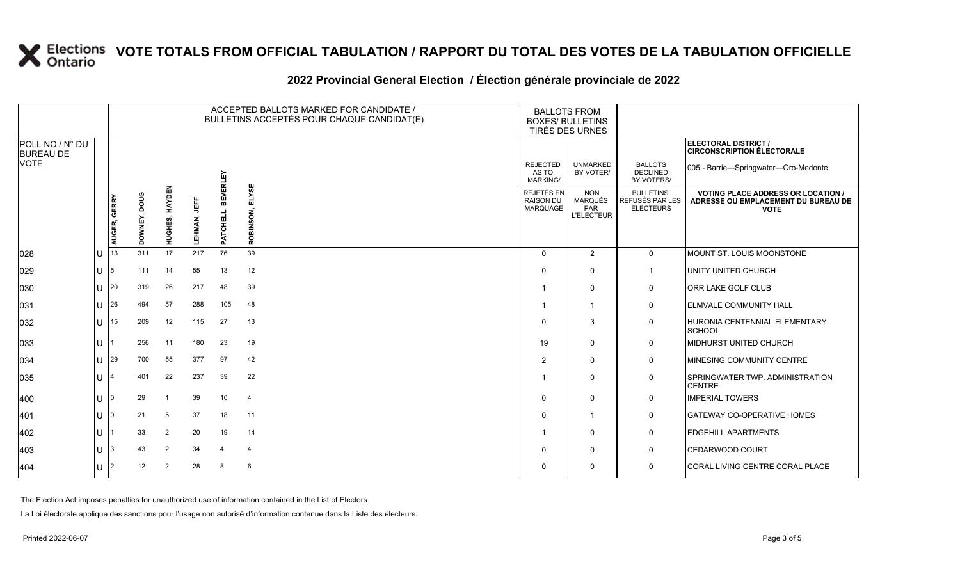### **2022 Provincial General Election / Élection générale provinciale de 2022**

|                                     |     |              |                 |                |                     |                     | ACCEPTED BALLOTS MARKED FOR CANDIDATE /<br>BULLETINS ACCEPTÉS POUR CHAQUE CANDIDAT(E) | <b>BALLOTS FROM</b><br><b>BOXES/ BULLETINS</b><br>TIRÉS DES URNES |                                                          |                                                         |                                                                                                 |
|-------------------------------------|-----|--------------|-----------------|----------------|---------------------|---------------------|---------------------------------------------------------------------------------------|-------------------------------------------------------------------|----------------------------------------------------------|---------------------------------------------------------|-------------------------------------------------------------------------------------------------|
| POLL NO./ N° DU<br><b>BUREAU DE</b> |     |              |                 |                |                     |                     |                                                                                       |                                                                   |                                                          |                                                         | ELECTORAL DISTRICT /<br><b>CIRCONSCRIPTION ÉLECTORALE</b>                                       |
| <b>VOTE</b>                         |     |              |                 |                |                     | <b>RLEY</b>         |                                                                                       | <b>REJECTED</b><br>AS TO<br><b>MARKING/</b>                       | <b>UNMARKED</b><br>BY VOTER/                             | <b>BALLOTS</b><br><b>DECLINED</b><br>BY VOTERS/         | 005 - Barrie-Springwater-Oro-Medonte                                                            |
|                                     |     | AUGER, GERRY | poug<br>DOWNEY, | HUGHES, HAYDEN | 当<br><b>LEHMAN,</b> | ▥<br>ᇛ<br>대파<br>PAT | ELYSE<br>ROBINSON,                                                                    | REJETÉS EN<br><b>RAISON DU</b><br>MARQUAGE                        | <b>NON</b><br><b>MARQUÉS</b><br>PAR<br><b>L'ÉLECTEUR</b> | <b>BULLETINS</b><br>REFUSÉS PAR LES<br><b>ÉLECTEURS</b> | <b>VOTING PLACE ADDRESS OR LOCATION /</b><br>ADRESSE OU EMPLACEMENT DU BUREAU DE<br><b>VOTE</b> |
| 028                                 | IU  | 13           | 311             | 17             | 217                 | 76                  | 39                                                                                    | $\Omega$                                                          | 2                                                        | $\mathbf 0$                                             | MOUNT ST. LOUIS MOONSTONE                                                                       |
| 029                                 | IU. | 5            | 111             | 14             | 55                  | 13                  | 12                                                                                    | $\Omega$                                                          | $\mathbf 0$                                              | $\mathbf{1}$                                            | UNITY UNITED CHURCH                                                                             |
| 030                                 | IU  | 20           | 319             | 26             | 217                 | 48                  | 39                                                                                    |                                                                   | $\mathbf 0$                                              | 0                                                       | ORR LAKE GOLF CLUB                                                                              |
| 031                                 | IU  | 26           | 494             | 57             | 288                 | 105                 | 48                                                                                    |                                                                   | $\overline{1}$                                           | 0                                                       | <b>ELMVALE COMMUNITY HALL</b>                                                                   |
| 032                                 | IU  | 15           | 209             | 12             | 115                 | 27                  | 13                                                                                    | $\Omega$                                                          | 3                                                        | $\mathbf 0$                                             | HURONIA CENTENNIAL ELEMENTARY<br><b>SCHOOL</b>                                                  |
| 033                                 | IU  |              | 256             | 11             | 180                 | 23                  | 19                                                                                    | 19                                                                | $\mathbf 0$                                              | 0                                                       | <b>MIDHURST UNITED CHURCH</b>                                                                   |
| 034                                 | ΙU  | 29           | 700             | 55             | 377                 | 97                  | 42                                                                                    | $\overline{2}$                                                    | $\mathbf 0$                                              | 0                                                       | MINESING COMMUNITY CENTRE                                                                       |
| 035                                 | IU  |              | 401             | 22             | 237                 | 39                  | 22                                                                                    |                                                                   | $\mathbf 0$                                              | 0                                                       | SPRINGWATER TWP. ADMINISTRATION<br><b>CENTRE</b>                                                |
| 400                                 | IU  | 0            | 29              | -1             | 39                  | 10                  | $\overline{4}$                                                                        | $\Omega$                                                          | $\mathbf 0$                                              | 0                                                       | <b>IMPERIAL TOWERS</b>                                                                          |
| 401                                 | IU  | O            | 21              | 5              | 37                  | 18                  | 11                                                                                    | $\Omega$                                                          | $\overline{1}$                                           | 0                                                       | <b>GATEWAY CO-OPERATIVE HOMES</b>                                                               |
| 402                                 | IU  |              | 33              | $\overline{2}$ | 20                  | 19                  | 14                                                                                    |                                                                   | $\mathbf 0$                                              | 0                                                       | <b>EDGEHILL APARTMENTS</b>                                                                      |
| 403                                 | IU  | 3            | 43              | $\overline{2}$ | 34                  | $\overline{a}$      | $\overline{4}$                                                                        | $\Omega$                                                          | $\mathbf 0$                                              | 0                                                       | CEDARWOOD COURT                                                                                 |
| 404                                 | IU. | 2            | 12              | $\overline{2}$ | 28                  | 8                   | 6                                                                                     | $\Omega$                                                          | 0                                                        | $\mathbf 0$                                             | CORAL LIVING CENTRE CORAL PLACE                                                                 |

The Election Act imposes penalties for unauthorized use of information contained in the List of Electors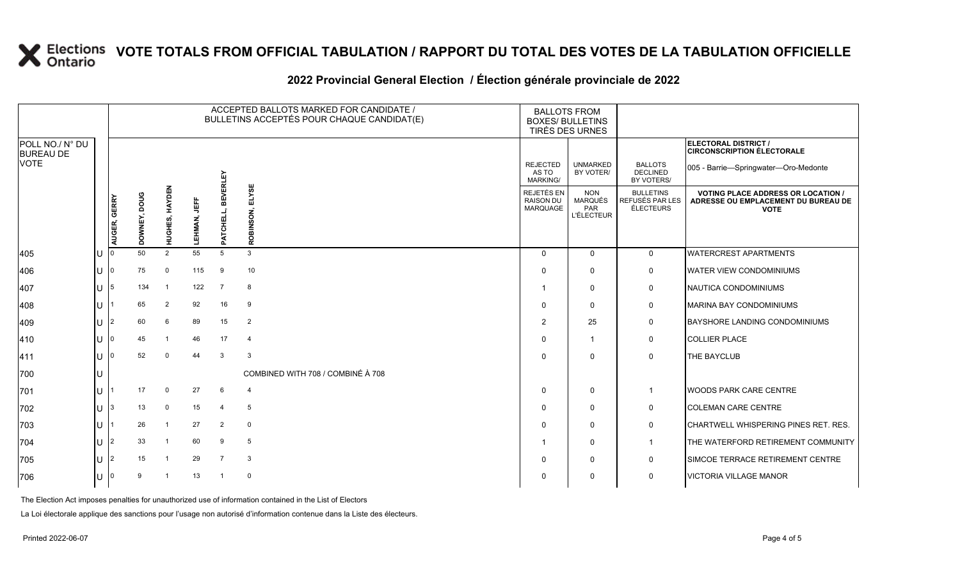### **2022 Provincial General Election / Élection générale provinciale de 2022**

|                                     |              |              |                 |                |                     |                              | ACCEPTED BALLOTS MARKED FOR CANDIDATE /<br>BULLETINS ACCEPTÉS POUR CHAQUE CANDIDAT(E) | <b>BALLOTS FROM</b><br><b>BOXES/ BULLETINS</b><br>TIRÉS DES URNES |                                                          |                                                  |                                                                                                 |
|-------------------------------------|--------------|--------------|-----------------|----------------|---------------------|------------------------------|---------------------------------------------------------------------------------------|-------------------------------------------------------------------|----------------------------------------------------------|--------------------------------------------------|-------------------------------------------------------------------------------------------------|
| POLL NO./ N° DU<br><b>BUREAU DE</b> |              |              |                 |                |                     |                              |                                                                                       |                                                                   |                                                          |                                                  | ELECTORAL DISTRICT /<br><b>CIRCONSCRIPTION ÉLECTORALE</b>                                       |
| <b>VOTE</b>                         |              |              |                 |                |                     |                              |                                                                                       | <b>REJECTED</b><br>AS TO<br>MARKING/                              | <b>UNMARKED</b><br>BY VOTER/                             | <b>BALLOTS</b><br><b>DECLINED</b><br>BY VOTERS/  | 005 - Barrie-Springwater-Oro-Medonte                                                            |
|                                     |              | AUGER, GERRY | poug<br>DOWNEY, | HUGHES, HAYDEN | <b>LEHMAN, JEFF</b> | <b>BEVERLEY</b><br>PATCHELL, | ELYSE<br>ROBINSON,                                                                    | <b>REJETÉS EN</b><br><b>RAISON DU</b><br>MARQUAGE                 | <b>NON</b><br><b>MARQUÉS</b><br>PAR<br><b>L'ÉLECTEUR</b> | <b>BULLETINS</b><br>REFUSÉS PAR LES<br>ÉLECTEURS | <b>VOTING PLACE ADDRESS OR LOCATION /</b><br>ADRESSE OU EMPLACEMENT DU BUREAU DE<br><b>VOTE</b> |
| 405                                 |              | ı٥           | 50              | 2              | 55                  | 5                            | 3                                                                                     | $\Omega$                                                          | $\Omega$                                                 | $\mathbf 0$                                      | <b>WATERCREST APARTMENTS</b>                                                                    |
| 406                                 | U            | 10           | 75              | $\mathbf 0$    | 115                 | 9                            | 10                                                                                    | $\Omega$                                                          | $\Omega$                                                 | 0                                                | <b>WATER VIEW CONDOMINIUMS</b>                                                                  |
| 407                                 | U            | 15           | 134             |                | 122                 | $\overline{7}$               | 8                                                                                     |                                                                   | $\mathbf{0}$                                             | 0                                                | NAUTICA CONDOMINIUMS                                                                            |
| 408                                 | U            |              | 65              | $\overline{2}$ | 92                  | 16                           | -9                                                                                    | $\Omega$                                                          | $\Omega$                                                 | 0                                                | <b>MARINA BAY CONDOMINIUMS</b>                                                                  |
| 409                                 | U            | l2           | 60              | 6              | 89                  | 15                           | $\overline{2}$                                                                        | $\overline{2}$                                                    | 25                                                       | 0                                                | <b>BAYSHORE LANDING CONDOMINIUMS</b>                                                            |
| $ 410\rangle$                       | $\cup$       | ı٥           | 45              |                | 46                  | 17                           | $\overline{4}$                                                                        | $\Omega$                                                          | $\mathbf{1}$                                             | 0                                                | <b>COLLIER PLACE</b>                                                                            |
| 411                                 | $\mathbf{U}$ | 10           | 52              | $\mathbf 0$    | 44                  | 3                            | 3                                                                                     | $\Omega$                                                          | $\Omega$                                                 | $\mathbf 0$                                      | <b>THE BAYCLUB</b>                                                                              |
| 700                                 |              |              |                 |                |                     |                              | COMBINED WITH 708 / COMBINÉ À 708                                                     |                                                                   |                                                          |                                                  |                                                                                                 |
| 701                                 | U            |              | 17              | $\mathbf 0$    | 27                  | 6                            | $\overline{4}$                                                                        | $\Omega$                                                          | $\mathbf{0}$                                             |                                                  | <b>WOODS PARK CARE CENTRE</b>                                                                   |
| 702                                 | U            | 13.          | 13              | $\mathbf 0$    | 15                  | $\overline{4}$               | 5                                                                                     | $\Omega$                                                          | $\Omega$                                                 | 0                                                | <b>COLEMAN CARE CENTRE</b>                                                                      |
| 703                                 | U            |              | 26              |                | 27                  | $\overline{2}$               | $\mathbf 0$                                                                           | $\Omega$                                                          | $\mathbf{0}$                                             | 0                                                | CHARTWELL WHISPERING PINES RET. RES.                                                            |
| 704                                 | U            | l2           | 33              |                | 60                  | 9                            | 5                                                                                     |                                                                   | $\mathbf{0}$                                             |                                                  | THE WATERFORD RETIREMENT COMMUNITY                                                              |
| 705                                 | U            | l2           | 15              |                | 29                  | $\overline{7}$               | 3                                                                                     | $\Omega$                                                          | $\Omega$                                                 | 0                                                | SIMCOE TERRACE RETIREMENT CENTRE                                                                |
| 706                                 | $\mathbf{U}$ |              | 9               |                | 13                  | -1                           | $\mathbf 0$                                                                           | $\Omega$                                                          | $\mathbf{0}$                                             | $\mathbf 0$                                      | <b>VICTORIA VILLAGE MANOR</b>                                                                   |

The Election Act imposes penalties for unauthorized use of information contained in the List of Electors